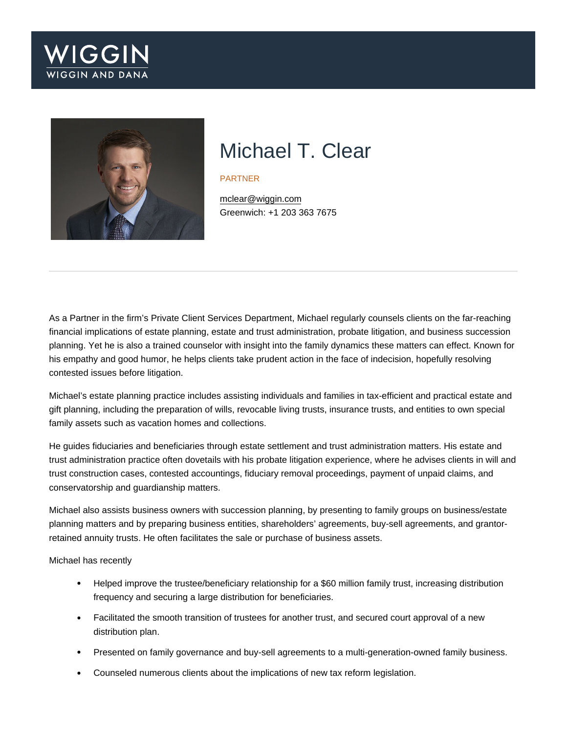

# Michael T. Clear

#### PARTNER

[mclear@wiggin.com](mailto:mclear@wiggin.com) Greenwich: +1 203 363 7675

As a Partner in the firm's Private Client Services Department, Michael regularly counsels clients on the far-reaching financial implications of estate planning, estate and trust administration, probate litigation, and business succession planning. Yet he is also a trained counselor with insight into the family dynamics these matters can effect. Known for his empathy and good humor, he helps clients take prudent action in the face of indecision, hopefully resolving contested issues before litigation.

Michael's estate planning practice includes assisting individuals and families in tax-efficient and practical estate and gift planning, including the preparation of wills, revocable living trusts, insurance trusts, and entities to own special family assets such as vacation homes and collections.

He guides fiduciaries and beneficiaries through estate settlement and trust administration matters. His estate and trust administration practice often dovetails with his probate litigation experience, where he advises clients in will and trust construction cases, contested accountings, fiduciary removal proceedings, payment of unpaid claims, and conservatorship and guardianship matters.

Michael also assists business owners with succession planning, by presenting to family groups on business/estate planning matters and by preparing business entities, shareholders' agreements, buy-sell agreements, and grantorretained annuity trusts. He often facilitates the sale or purchase of business assets.

Michael has recently

- Helped improve the trustee/beneficiary relationship for a \$60 million family trust, increasing distribution frequency and securing a large distribution for beneficiaries.
- Facilitated the smooth transition of trustees for another trust, and secured court approval of a new distribution plan.
- Presented on family governance and buy-sell agreements to a multi-generation-owned family business.
- Counseled numerous clients about the implications of new tax reform legislation.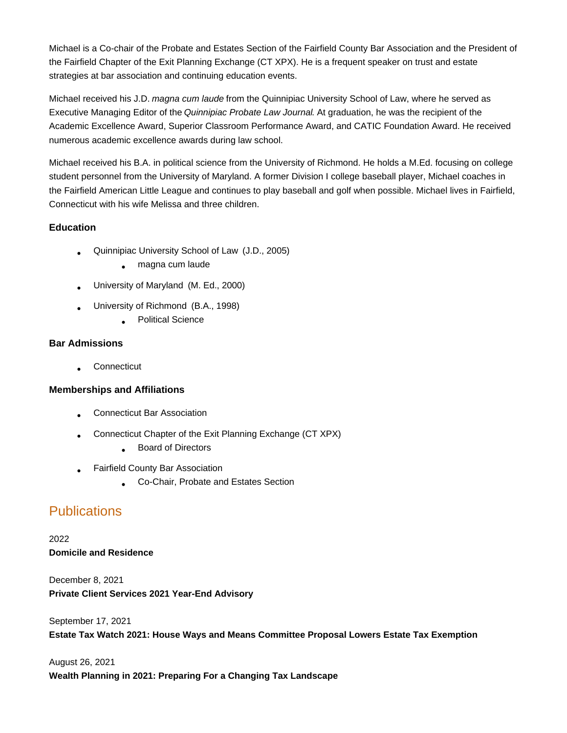Michael is a Co-chair of the Probate and Estates Section of the Fairfield County Bar Association and the President of the Fairfield Chapter of the Exit Planning Exchange (CT XPX). He is a frequent speaker on trust and estate strategies at bar association and continuing education events.

Michael received his J.D. magna cum laude from the Quinnipiac University School of Law, where he served as Executive Managing Editor of the Quinnipiac Probate Law Journal. At graduation, he was the recipient of the Academic Excellence Award, Superior Classroom Performance Award, and CATIC Foundation Award. He received numerous academic excellence awards during law school.

Michael received his B.A. in political science from the University of Richmond. He holds a M.Ed. focusing on college student personnel from the University of Maryland. A former Division I college baseball player, Michael coaches in the Fairfield American Little League and continues to play baseball and golf when possible. Michael lives in Fairfield, Connecticut with his wife Melissa and three children.

#### **Education**

- Quinnipiac University School of Law (J.D., 2005) •
	- magna cum laude
- University of Maryland (M. Ed., 2000) •
- University of Richmond (B.A., 1998) •
	- **Political Science**

#### **Bar Admissions**

**Connecticut** 

#### **Memberships and Affiliations**

- Connecticut Bar Association •
- Connecticut Chapter of the Exit Planning Exchange (CT XPX) •
	- **Board of Directors**
- Fairfield County Bar Association •
	- Co-Chair, Probate and Estates Section •

## **Publications**

2022 **Domicile and Residence**

December 8, 2021 **Private Client Services 2021 Year-End Advisory**

September 17, 2021 **Estate Tax Watch 2021: House Ways and Means Committee Proposal Lowers Estate Tax Exemption**

### August 26, 2021 **Wealth Planning in 2021: Preparing For a Changing Tax Landscape**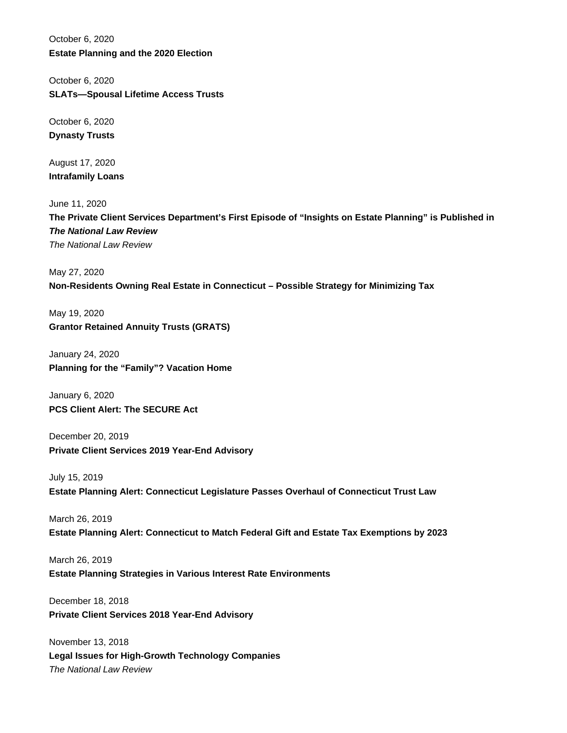October 6, 2020 **Estate Planning and the 2020 Election**

October 6, 2020 **SLATs—Spousal Lifetime Access Trusts**

October 6, 2020 **Dynasty Trusts**

August 17, 2020 **Intrafamily Loans**

June 11, 2020 **The Private Client Services Department's First Episode of "Insights on Estate Planning" is Published in The National Law Review** The National Law Review

May 27, 2020 **Non-Residents Owning Real Estate in Connecticut – Possible Strategy for Minimizing Tax**

May 19, 2020 **Grantor Retained Annuity Trusts (GRATS)**

January 24, 2020 **Planning for the "Family"? Vacation Home**

January 6, 2020 **PCS Client Alert: The SECURE Act**

December 20, 2019 **Private Client Services 2019 Year-End Advisory**

July 15, 2019 **Estate Planning Alert: Connecticut Legislature Passes Overhaul of Connecticut Trust Law**

March 26, 2019 **Estate Planning Alert: Connecticut to Match Federal Gift and Estate Tax Exemptions by 2023**

March 26, 2019 **Estate Planning Strategies in Various Interest Rate Environments**

December 18, 2018 **Private Client Services 2018 Year-End Advisory**

November 13, 2018 **Legal Issues for High-Growth Technology Companies** The National Law Review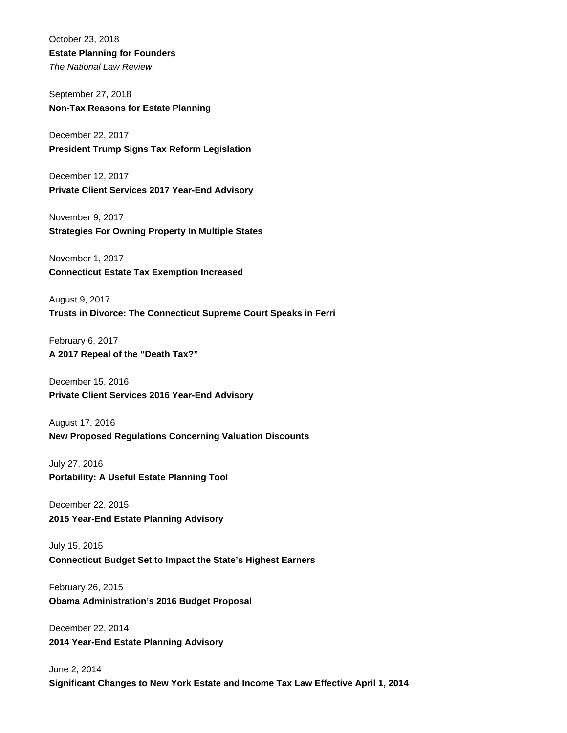October 23, 2018 **Estate Planning for Founders** The National Law Review

September 27, 2018 **Non-Tax Reasons for Estate Planning**

December 22, 2017 **President Trump Signs Tax Reform Legislation**

December 12, 2017 **Private Client Services 2017 Year-End Advisory**

November 9, 2017 **Strategies For Owning Property In Multiple States**

November 1, 2017 **Connecticut Estate Tax Exemption Increased**

August 9, 2017 **Trusts in Divorce: The Connecticut Supreme Court Speaks in Ferri**

February 6, 2017 **A 2017 Repeal of the "Death Tax?"**

December 15, 2016 **Private Client Services 2016 Year-End Advisory**

August 17, 2016 **New Proposed Regulations Concerning Valuation Discounts**

July 27, 2016 **Portability: A Useful Estate Planning Tool**

December 22, 2015 **2015 Year-End Estate Planning Advisory**

July 15, 2015 **Connecticut Budget Set to Impact the State's Highest Earners**

February 26, 2015 **Obama Administration's 2016 Budget Proposal**

December 22, 2014 **2014 Year-End Estate Planning Advisory**

June 2, 2014 **Significant Changes to New York Estate and Income Tax Law Effective April 1, 2014**